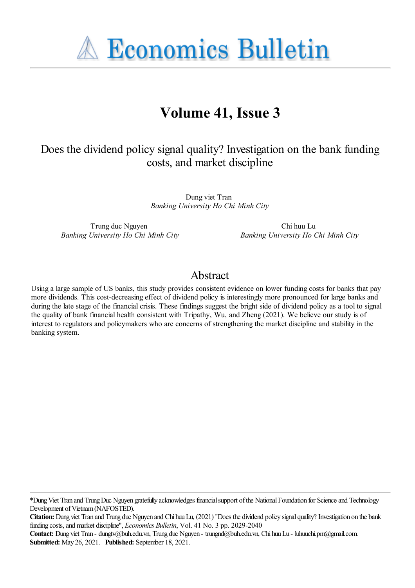**A Economics Bulletin** 

# **Volume 41, Issue 3**

## Does the dividend policy signal quality? Investigation on the bank funding costs, and market discipline

Dung viet Tran *Banking University Ho Chi Minh City*

Trung duc Nguyen *Banking University Ho Chi Minh City*

Chi huu Lu *Banking University Ho Chi Minh City*

## Abstract

Using a large sample of US banks, this study provides consistent evidence on lower funding costs for banks that pay more dividends. This cost-decreasing effect of dividend policy is interestingly more pronounced for large banks and during the late stage of the financial crisis. These findings suggest the bright side of dividend policy as a tool to signal the quality of bank financial health consistent with Tripathy, Wu, and Zheng (2021). We believe our study is of interest to regulators and policymakers who are concerns of strengthening the market discipline and stability in the banking system.

\*DungViet Tran and TrungDuc Nguyen gratefully acknowledges financialsupport ofthe NationalFoundation for Scienceand Technology Development of Vietnam (NAFOSTED).

**Citation:** Dung viet Tran and Trung duc Nguyen and Chi huuLu, (2021) ''Does the dividend policy signal quality?Investigation on the bank funding costs,and market discipline'', *Economics Bulletin*, Vol. 41 No. 3 pp. 2029-2040

**Contact:** Dung viet Tran - dungtv@buh.edu.vn, Trung duc Nguyen - trungnd@buh.edu.vn, Chi huuLu - luhuuchi.pm@gmail.com. **Submitted:** May 26, 2021. **Published:** September 18, 2021.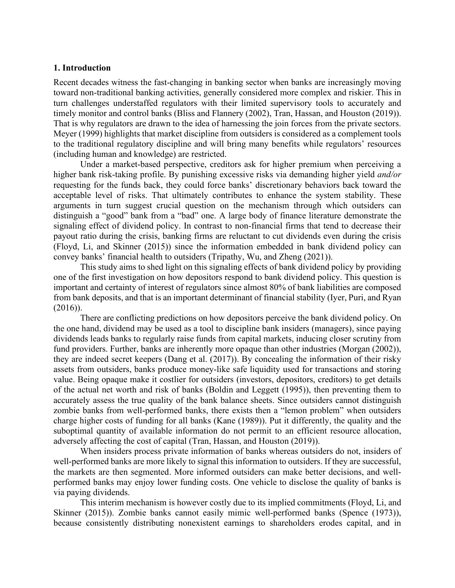#### **1. Introduction**

Recent decades witness the fast-changing in banking sector when banks are increasingly moving toward non-traditional banking activities, generally considered more complex and riskier. This in turn challenges understaffed regulators with their limited supervisory tools to accurately and timely monitor and control banks (Bliss and Flannery (2002), Tran, Hassan, and Houston (2019)). That is why regulators are drawn to the idea of harnessing the join forces from the private sectors. Meyer (1999) highlights that market discipline from outsiders is considered as a complement tools to the traditional regulatory discipline and will bring many benefits while regulators' resources (including human and knowledge) are restricted.

 Under a market-based perspective, creditors ask for higher premium when perceiving a higher bank risk-taking profile. By punishing excessive risks via demanding higher yield *and/or* requesting for the funds back, they could force banks' discretionary behaviors back toward the acceptable level of risks. That ultimately contributes to enhance the system stability. These arguments in turn suggest crucial question on the mechanism through which outsiders can distinguish a "good" bank from a "bad" one. A large body of finance literature demonstrate the signaling effect of dividend policy. In contrast to non-financial firms that tend to decrease their payout ratio during the crisis, banking firms are reluctant to cut dividends even during the crisis (Floyd, Li, and Skinner (2015)) since the information embedded in bank dividend policy can convey banks' financial health to outsiders (Tripathy, Wu, and Zheng (2021)).

This study aims to shed light on this signaling effects of bank dividend policy by providing one of the first investigation on how depositors respond to bank dividend policy. This question is important and certainty of interest of regulators since almost 80% of bank liabilities are composed from bank deposits, and that is an important determinant of financial stability (Iyer, Puri, and Ryan (2016)).

There are conflicting predictions on how depositors perceive the bank dividend policy. On the one hand, dividend may be used as a tool to discipline bank insiders (managers), since paying dividends leads banks to regularly raise funds from capital markets, inducing closer scrutiny from fund providers. Further, banks are inherently more opaque than other industries (Morgan (2002)), they are indeed secret keepers (Dang et al. (2017)). By concealing the information of their risky assets from outsiders, banks produce money-like safe liquidity used for transactions and storing value. Being opaque make it costlier for outsiders (investors, depositors, creditors) to get details of the actual net worth and risk of banks (Boldin and Leggett (1995)), then preventing them to accurately assess the true quality of the bank balance sheets. Since outsiders cannot distinguish zombie banks from well-performed banks, there exists then a "lemon problem" when outsiders charge higher costs of funding for all banks (Kane (1989)). Put it differently, the quality and the suboptimal quantity of available information do not permit to an efficient resource allocation, adversely affecting the cost of capital (Tran, Hassan, and Houston (2019)).

When insiders process private information of banks whereas outsiders do not, insiders of well-performed banks are more likely to signal this information to outsiders. If they are successful, the markets are then segmented. More informed outsiders can make better decisions, and wellperformed banks may enjoy lower funding costs. One vehicle to disclose the quality of banks is via paying dividends.

This interim mechanism is however costly due to its implied commitments (Floyd, Li, and Skinner (2015)). Zombie banks cannot easily mimic well-performed banks (Spence (1973)), because consistently distributing nonexistent earnings to shareholders erodes capital, and in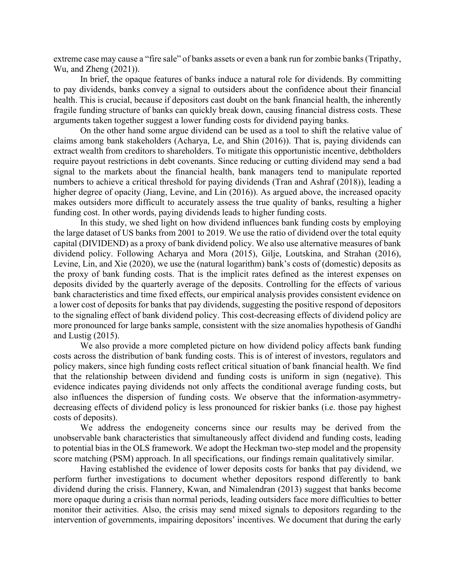extreme case may cause a "fire sale" of banks assets or even a bank run for zombie banks (Tripathy, Wu, and Zheng (2021)).

In brief, the opaque features of banks induce a natural role for dividends. By committing to pay dividends, banks convey a signal to outsiders about the confidence about their financial health. This is crucial, because if depositors cast doubt on the bank financial health, the inherently fragile funding structure of banks can quickly break down, causing financial distress costs. These arguments taken together suggest a lower funding costs for dividend paying banks.

On the other hand some argue dividend can be used as a tool to shift the relative value of claims among bank stakeholders (Acharya, Le, and Shin (2016)). That is, paying dividends can extract wealth from creditors to shareholders. To mitigate this opportunistic incentive, debtholders require payout restrictions in debt covenants. Since reducing or cutting dividend may send a bad signal to the markets about the financial health, bank managers tend to manipulate reported numbers to achieve a critical threshold for paying dividends (Tran and Ashraf (2018)), leading a higher degree of opacity (Jiang, Levine, and Lin (2016)). As argued above, the increased opacity makes outsiders more difficult to accurately assess the true quality of banks, resulting a higher funding cost. In other words, paying dividends leads to higher funding costs.

In this study, we shed light on how dividend influences bank funding costs by employing the large dataset of US banks from 2001 to 2019. We use the ratio of dividend over the total equity capital (DIVIDEND) as a proxy of bank dividend policy. We also use alternative measures of bank dividend policy. Following Acharya and Mora (2015), Gilje, Loutskina, and Strahan (2016), Levine, Lin, and Xie (2020), we use the (natural logarithm) bank's costs of (domestic) deposits as the proxy of bank funding costs. That is the implicit rates defined as the interest expenses on deposits divided by the quarterly average of the deposits. Controlling for the effects of various bank characteristics and time fixed effects, our empirical analysis provides consistent evidence on a lower cost of deposits for banks that pay dividends, suggesting the positive respond of depositors to the signaling effect of bank dividend policy. This cost-decreasing effects of dividend policy are more pronounced for large banks sample, consistent with the size anomalies hypothesis of Gandhi and Lustig (2015).

We also provide a more completed picture on how dividend policy affects bank funding costs across the distribution of bank funding costs. This is of interest of investors, regulators and policy makers, since high funding costs reflect critical situation of bank financial health. We find that the relationship between dividend and funding costs is uniform in sign (negative). This evidence indicates paying dividends not only affects the conditional average funding costs, but also influences the dispersion of funding costs. We observe that the information-asymmetrydecreasing effects of dividend policy is less pronounced for riskier banks (i.e. those pay highest costs of deposits).

We address the endogeneity concerns since our results may be derived from the unobservable bank characteristics that simultaneously affect dividend and funding costs, leading to potential bias in the OLS framework. We adopt the Heckman two‐step model and the propensity score matching (PSM) approach. In all specifications, our findings remain qualitatively similar.

Having established the evidence of lower deposits costs for banks that pay dividend, we perform further investigations to document whether depositors respond differently to bank dividend during the crisis. Flannery, Kwan, and Nimalendran (2013) suggest that banks become more opaque during a crisis than normal periods, leading outsiders face more difficulties to better monitor their activities. Also, the crisis may send mixed signals to depositors regarding to the intervention of governments, impairing depositors' incentives. We document that during the early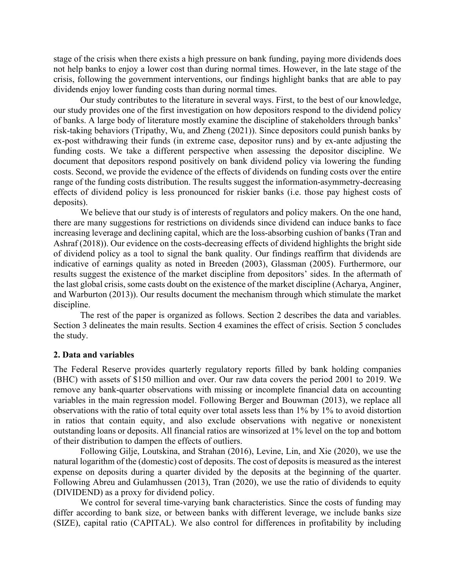stage of the crisis when there exists a high pressure on bank funding, paying more dividends does not help banks to enjoy a lower cost than during normal times. However, in the late stage of the crisis, following the government interventions, our findings highlight banks that are able to pay dividends enjoy lower funding costs than during normal times.

Our study contributes to the literature in several ways. First, to the best of our knowledge, our study provides one of the first investigation on how depositors respond to the dividend policy of banks. A large body of literature mostly examine the discipline of stakeholders through banks' risk-taking behaviors (Tripathy, Wu, and Zheng (2021)). Since depositors could punish banks by ex-post withdrawing their funds (in extreme case, depositor runs) and by ex-ante adjusting the funding costs. We take a different perspective when assessing the depositor discipline. We document that depositors respond positively on bank dividend policy via lowering the funding costs. Second, we provide the evidence of the effects of dividends on funding costs over the entire range of the funding costs distribution. The results suggest the information-asymmetry-decreasing effects of dividend policy is less pronounced for riskier banks (i.e. those pay highest costs of deposits).

We believe that our study is of interests of regulators and policy makers. On the one hand, there are many suggestions for restrictions on dividends since dividend can induce banks to face increasing leverage and declining capital, which are the loss-absorbing cushion of banks (Tran and Ashraf (2018)). Our evidence on the costs-decreasing effects of dividend highlights the bright side of dividend policy as a tool to signal the bank quality. Our findings reaffirm that dividends are indicative of earnings quality as noted in Breeden (2003), Glassman (2005). Furthermore, our results suggest the existence of the market discipline from depositors' sides. In the aftermath of the last global crisis, some casts doubt on the existence of the market discipline (Acharya, Anginer, and Warburton (2013)). Our results document the mechanism through which stimulate the market discipline.

The rest of the paper is organized as follows. Section 2 describes the data and variables. Section 3 delineates the main results. Section 4 examines the effect of crisis. Section 5 concludes the study.

#### **2. Data and variables**

The Federal Reserve provides quarterly regulatory reports filled by bank holding companies (BHC) with assets of \$150 million and over. Our raw data covers the period 2001 to 2019. We remove any bank-quarter observations with missing or incomplete financial data on accounting variables in the main regression model. Following Berger and Bouwman (2013), we replace all observations with the ratio of total equity over total assets less than 1% by 1% to avoid distortion in ratios that contain equity, and also exclude observations with negative or nonexistent outstanding loans or deposits. All financial ratios are winsorized at 1% level on the top and bottom of their distribution to dampen the effects of outliers.

 Following Gilje, Loutskina, and Strahan (2016), Levine, Lin, and Xie (2020), we use the natural logarithm of the (domestic) cost of deposits. The cost of deposits is measured as the interest expense on deposits during a quarter divided by the deposits at the beginning of the quarter. Following Abreu and Gulamhussen (2013), Tran (2020), we use the ratio of dividends to equity (DIVIDEND) as a proxy for dividend policy.

We control for several time-varying bank characteristics. Since the costs of funding may differ according to bank size, or between banks with different leverage, we include banks size (SIZE), capital ratio (CAPITAL). We also control for differences in profitability by including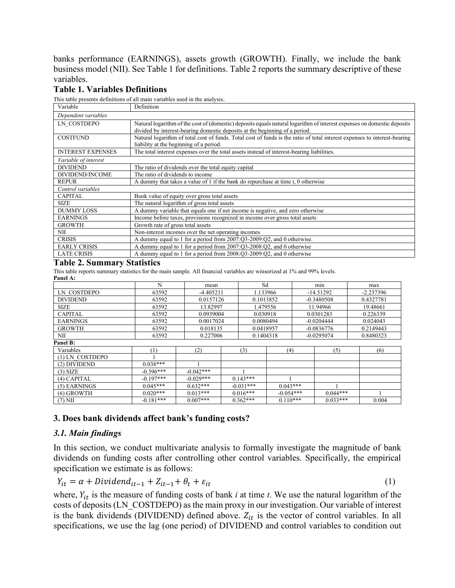banks performance (EARNINGS), assets growth (GROWTH). Finally, we include the bank business model (NII). See Table 1 for definitions. Table 2 reports the summary descriptive of these variables.

#### **Table 1. Variables Definitions**

This table presents definitions of all main variables used in the analysis.

| Variable                 | Definition                                                                                                                                                                                             |
|--------------------------|--------------------------------------------------------------------------------------------------------------------------------------------------------------------------------------------------------|
| Dependent variables      |                                                                                                                                                                                                        |
| LN COSTDEPO              | Natural logarithm of the cost of (domestic) deposits equals natural logarithm of interest expenses on domestic deposits<br>divided by interest-bearing domestic deposits at the beginning of a period. |
| <b>COSTFUND</b>          | Natural logarithm of total cost of funds. Total cost of funds is the ratio of total interest expenses to interest-bearing<br>liability at the beginning of a period.                                   |
| <b>INTEREST EXPENSES</b> | The total interest expenses over the total assets instead of interest-bearing liabilities.                                                                                                             |
| Variable of interest     |                                                                                                                                                                                                        |
| <b>DIVIDEND</b>          | The ratio of dividends over the total equity capital                                                                                                                                                   |
| DIVIDEND/INCOME          | The ratio of dividends to income                                                                                                                                                                       |
| <b>REPUR</b>             | A dummy that takes a value of 1 if the bank do repurchase at time t, 0 otherwise                                                                                                                       |
| Control variables        |                                                                                                                                                                                                        |
| <b>CAPITAL</b>           | Book value of equity over gross total assets                                                                                                                                                           |
| <b>SIZE</b>              | The natural logarithm of gross total assets                                                                                                                                                            |
| <b>DUMMY LOSS</b>        | A dummy variable that equals one if net income is negative, and zero otherwise                                                                                                                         |
| <b>EARNINGS</b>          | Income before taxes, provisions recognized in income over gross total assets                                                                                                                           |
| <b>GROWTH</b>            | Growth rate of gross total assets                                                                                                                                                                      |
| NII                      | Non-interest incomes over the net operating incomes                                                                                                                                                    |
| <b>CRISIS</b>            | A dummy equal to 1 for a period from 2007:Q3-2009:Q2, and 0 otherwise.                                                                                                                                 |
| <b>EARLY CRISIS</b>      | A dummy equal to 1 for a period from 2007:Q3-2008:Q2, and 0 otherwise                                                                                                                                  |
| <b>LATE CRISIS</b>       | A dummy equal to 1 for a period from 2008:Q3-2009:Q2, and 0 otherwise                                                                                                                                  |

#### **Table 2. Summary Statistics**

This table reports summary statistics for the main sample. All financial variables are winsorized at 1% and 99% levels. **Panel A:** 

| 1 апсі д.       |             |             |             |             |              |             |
|-----------------|-------------|-------------|-------------|-------------|--------------|-------------|
|                 | N           | mean        |             | Sd          | min          | max         |
| LN COSTDEPO     | 63592       | $-4.405211$ |             | 1.133966    | $-14.51292$  | $-2.237396$ |
| <b>DIVIDEND</b> | 63592       | 0.0157126   |             | 0.1013852   | $-0.3480508$ | 0.4327781   |
| <b>SIZE</b>     | 63592       | 13.82997    |             | 1.479556    | 11.94966     | 19.48661    |
| <b>CAPITAL</b>  | 63592       | 0.0939004   |             | 0.030918    | 0.0301283    | 0.226339    |
| <b>EARNINGS</b> | 63592       | 0.0017024   |             | 0.0080494   | $-0.0204444$ | 0.024043    |
| <b>GROWTH</b>   | 63592       | 0.018135    |             | 0.0418957   | $-0.0836776$ | 0.2149443   |
| NII             | 63592       | 0.227006    |             | 0.1404318   | $-0.0295074$ | 0.8480323   |
| Panel B:        |             |             |             |             |              |             |
| Variables       | $^{(1)}$    | (2)         | (3)         | (4)         | (5)          | (6)         |
| (1) LN COSTDEPO |             |             |             |             |              |             |
| (2) DIVIDEND    | $0.038***$  |             |             |             |              |             |
| $(3)$ SIZE      | $-0.396***$ | $-0.042***$ |             |             |              |             |
| $(4)$ CAPITAL   | $-0.197***$ | $-0.029***$ | $0.143***$  |             |              |             |
| (5) EARNINGS    | $0.045***$  | $0.632***$  | $-0.031***$ | $0.043***$  |              |             |
| $(6)$ GROWTH    | $0.020***$  | $0.013***$  | $0.016***$  | $-0.054***$ | $0.044***$   |             |
| $(7)$ NII       | $-0.181***$ | $0.007***$  | $0.362***$  | $0.110***$  | $0.033***$   | 0.004       |

#### **3. Does bank dividends affect bank's funding costs?**

#### *3.1. Main findings*

In this section, we conduct multivariate analysis to formally investigate the magnitude of bank dividends on funding costs after controlling other control variables. Specifically, the empirical specification we estimate is as follows:

$$
Y_{it} = \alpha + Dividend_{it-1} + Z_{it-1} + \theta_t + \varepsilon_{it}
$$
\n<sup>(1)</sup>

where,  $Y_{it}$  is the measure of funding costs of bank  $i$  at time  $t$ . We use the natural logarithm of the costs of deposits (LN\_COSTDEPO) as the main proxy in our investigation. Our variable of interest is the bank dividends (DIVIDEND) defined above.  $Z_{it}$  is the vector of control variables. In all specifications, we use the lag (one period) of DIVIDEND and control variables to condition out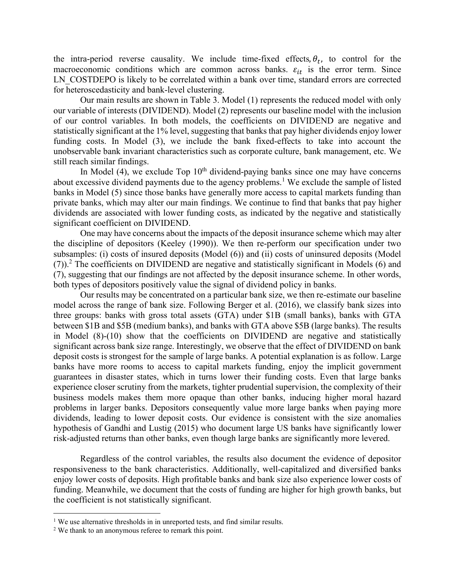the intra-period reverse causality. We include time-fixed effects,  $\theta_t$ , to control for the macroeconomic conditions which are common across banks.  $\varepsilon_{it}$  is the error term. Since LN\_COSTDEPO is likely to be correlated within a bank over time, standard errors are corrected for heteroscedasticity and bank-level clustering.

Our main results are shown in Table 3. Model (1) represents the reduced model with only our variable of interests (DIVIDEND). Model (2) represents our baseline model with the inclusion of our control variables. In both models, the coefficients on DIVIDEND are negative and statistically significant at the 1% level, suggesting that banks that pay higher dividends enjoy lower funding costs. In Model (3), we include the bank fixed-effects to take into account the unobservable bank invariant characteristics such as corporate culture, bank management, etc. We still reach similar findings.

In Model (4), we exclude  $Top 10<sup>th</sup>$  dividend-paying banks since one may have concerns about excessive dividend payments due to the agency problems.<sup>1</sup> We exclude the sample of listed banks in Model (5) since those banks have generally more access to capital markets funding than private banks, which may alter our main findings. We continue to find that banks that pay higher dividends are associated with lower funding costs, as indicated by the negative and statistically significant coefficient on DIVIDEND.

One may have concerns about the impacts of the deposit insurance scheme which may alter the discipline of depositors (Keeley (1990)). We then re-perform our specification under two subsamples: (i) costs of insured deposits (Model (6)) and (ii) costs of uninsured deposits (Model  $(7)$ ).<sup>2</sup> The coefficients on DIVIDEND are negative and statistically significant in Models (6) and (7), suggesting that our findings are not affected by the deposit insurance scheme. In other words, both types of depositors positively value the signal of dividend policy in banks.

Our results may be concentrated on a particular bank size, we then re-estimate our baseline model across the range of bank size. Following Berger et al. (2016), we classify bank sizes into three groups: banks with gross total assets (GTA) under \$1B (small banks), banks with GTA between \$1B and \$5B (medium banks), and banks with GTA above \$5B (large banks). The results in Model (8)-(10) show that the coefficients on DIVIDEND are negative and statistically significant across bank size range. Interestingly, we observe that the effect of DIVIDEND on bank deposit costs is strongest for the sample of large banks. A potential explanation is as follow. Large banks have more rooms to access to capital markets funding, enjoy the implicit government guarantees in disaster states, which in turns lower their funding costs. Even that large banks experience closer scrutiny from the markets, tighter prudential supervision, the complexity of their business models makes them more opaque than other banks, inducing higher moral hazard problems in larger banks. Depositors consequently value more large banks when paying more dividends, leading to lower deposit costs. Our evidence is consistent with the size anomalies hypothesis of Gandhi and Lustig (2015) who document large US banks have significantly lower risk-adjusted returns than other banks, even though large banks are significantly more levered.

Regardless of the control variables, the results also document the evidence of depositor responsiveness to the bank characteristics. Additionally, well-capitalized and diversified banks enjoy lower costs of deposits. High profitable banks and bank size also experience lower costs of funding. Meanwhile, we document that the costs of funding are higher for high growth banks, but the coefficient is not statistically significant.

<sup>&</sup>lt;sup>1</sup> We use alternative thresholds in in unreported tests, and find similar results.

<sup>&</sup>lt;sup>2</sup> We thank to an anonymous referee to remark this point.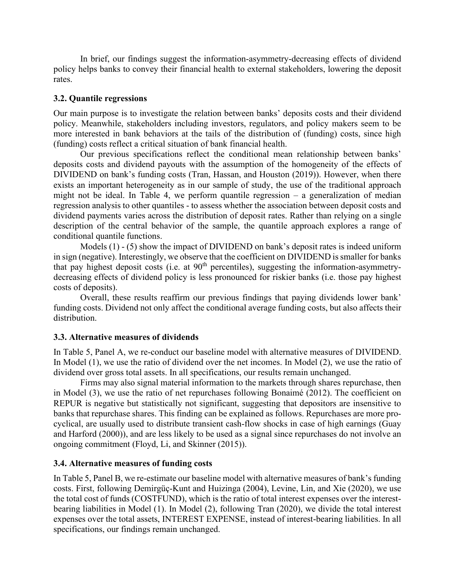In brief, our findings suggest the information-asymmetry-decreasing effects of dividend policy helps banks to convey their financial health to external stakeholders, lowering the deposit rates.

#### **3.2. Quantile regressions**

Our main purpose is to investigate the relation between banks' deposits costs and their dividend policy. Meanwhile, stakeholders including investors, regulators, and policy makers seem to be more interested in bank behaviors at the tails of the distribution of (funding) costs, since high (funding) costs reflect a critical situation of bank financial health.

Our previous specifications reflect the conditional mean relationship between banks' deposits costs and dividend payouts with the assumption of the homogeneity of the effects of DIVIDEND on bank's funding costs (Tran, Hassan, and Houston (2019)). However, when there exists an important heterogeneity as in our sample of study, the use of the traditional approach might not be ideal. In Table 4, we perform quantile regression – a generalization of median regression analysis to other quantiles - to assess whether the association between deposit costs and dividend payments varies across the distribution of deposit rates. Rather than relying on a single description of the central behavior of the sample, the quantile approach explores a range of conditional quantile functions.

Models (1) - (5) show the impact of DIVIDEND on bank's deposit rates is indeed uniform in sign (negative). Interestingly, we observe that the coefficient on DIVIDEND is smaller for banks that pay highest deposit costs (i.e. at 90<sup>th</sup> percentiles), suggesting the information-asymmetrydecreasing effects of dividend policy is less pronounced for riskier banks (i.e. those pay highest costs of deposits).

Overall, these results reaffirm our previous findings that paying dividends lower bank' funding costs. Dividend not only affect the conditional average funding costs, but also affects their distribution.

#### **3.3. Alternative measures of dividends**

In Table 5, Panel A, we re-conduct our baseline model with alternative measures of DIVIDEND. In Model (1), we use the ratio of dividend over the net incomes. In Model (2), we use the ratio of dividend over gross total assets. In all specifications, our results remain unchanged.

 Firms may also signal material information to the markets through shares repurchase, then in Model (3), we use the ratio of net repurchases following Bonaimé (2012). The coefficient on REPUR is negative but statistically not significant, suggesting that depositors are insensitive to banks that repurchase shares. This finding can be explained as follows. Repurchases are more procyclical, are usually used to distribute transient cash‐flow shocks in case of high earnings (Guay and Harford (2000)), and are less likely to be used as a signal since repurchases do not involve an ongoing commitment (Floyd, Li, and Skinner (2015)).

#### **3.4. Alternative measures of funding costs**

In Table 5, Panel B, we re-estimate our baseline model with alternative measures of bank's funding costs. First, following Demirgüç-Kunt and Huizinga (2004), Levine, Lin, and Xie (2020), we use the total cost of funds (COSTFUND), which is the ratio of total interest expenses over the interestbearing liabilities in Model (1). In Model (2), following Tran (2020), we divide the total interest expenses over the total assets, INTEREST EXPENSE, instead of interest-bearing liabilities. In all specifications, our findings remain unchanged.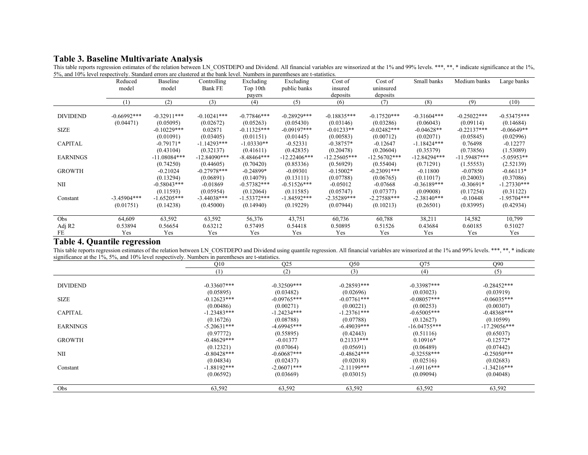### **Table 3. Baseline Multivariate Analysis**

|                    | Reduced       | Baseline       | Controlling    | Excluding     | Excluding      | Cost of        | Cost of        | Small banks    | Medium banks   | Large banks   |
|--------------------|---------------|----------------|----------------|---------------|----------------|----------------|----------------|----------------|----------------|---------------|
|                    | model         | model          | <b>Bank FE</b> | Top 10th      | public banks   | insured        | uninsured      |                |                |               |
|                    |               |                |                | payers        |                | deposits       | deposits       |                |                |               |
|                    | (1)           | (2)            | (3)            | (4)           | (5)            | (6)            | (7)            | (8)            | (9)            | (10)          |
|                    |               |                |                |               |                |                |                |                |                |               |
| <b>DIVIDEND</b>    | $-0.66992***$ | $-0.32911***$  | $-0.10241***$  | $-0.77846***$ | $-0.28929***$  | $-0.18835***$  | $-0.17520***$  | $-0.31604***$  | $-0.25022***$  | $-0.53475***$ |
|                    | (0.04471)     | (0.05095)      | (0.02672)      | (0.05263)     | (0.05430)      | (0.03146)      | (0.03286)      | (0.06043)      | (0.09114)      | (0.14684)     |
| <b>SIZE</b>        |               | $-0.10229***$  | 0.02871        | $-0.11325***$ | $-0.09197***$  | $-0.01233**$   | $-0.02482***$  | $-0.04628**$   | $-0.22137***$  | $-0.06649**$  |
|                    |               | (0.01091)      | (0.03405)      | (0.01151)     | (0.01445)      | (0.00583)      | (0.00712)      | (0.02071)      | (0.05845)      | (0.02996)     |
| <b>CAPITAL</b>     |               | $-0.79171*$    | $-1.14293***$  | $-1.03330**$  | $-0.52331$     | $-0.38757*$    | $-0.12647$     | $-1.18424***$  | 0.76498        | $-0.12277$    |
|                    |               | (0.43104)      | (0.32137)      | (0.41611)     | (0.42835)      | (0.20478)      | (0.20604)      | (0.35379)      | (0.73856)      | (1.53089)     |
| <b>EARNINGS</b>    |               | $-11.08084***$ | $-12.84090***$ | $-8.48464***$ | $-12.22406***$ | $-12.25605***$ | $-12.56702***$ | $-12.84294***$ | $-11.59487***$ | $-5.05953**$  |
|                    |               | (0.74250)      | (0.44605)      | (0.70420)     | (0.85336)      | (0.56929)      | (0.55404)      | (0.71291)      | (1.55553)      | (2.52139)     |
| <b>GROWTH</b>      |               | $-0.21024$     | $-0.27978***$  | $-0.24899*$   | $-0.09301$     | $-0.15002*$    | $-0.23091***$  | $-0.11800$     | $-0.07850$     | $-0.66113*$   |
|                    |               | (0.13294)      | (0.06891)      | (0.14079)     | (0.13111)      | (0.07788)      | (0.06765)      | (0.11017)      | (0.24003)      | (0.37086)     |
| NII                |               | $-0.58043***$  | $-0.01869$     | $-0.57382***$ | $-0.51526***$  | $-0.05012$     | $-0.07668$     | $-0.36189***$  | $-0.30691*$    | $-1.27330***$ |
|                    |               | (0.11593)      | (0.05954)      | (0.12064)     | (0.11585)      | (0.05747)      | (0.07377)      | (0.09008)      | (0.17254)      | (0.31122)     |
| Constant           | $-3.45904***$ | $-1.65205***$  | $-3.44038***$  | $-1.53372***$ | $-1.84592***$  | $-2.35289***$  | $-2.27588***$  | $-2.38140***$  | $-0.10448$     | $-1.95704***$ |
|                    | (0.01751)     | (0.14238)      | (0.45000)      | (0.14940)     | (0.19229)      | (0.07944)      | (0.10213)      | (0.26501)      | (0.83995)      | (0.42934)     |
|                    |               |                |                |               |                |                |                |                |                |               |
| Obs                | 64,609        | 63,592         | 63,592         | 56,376        | 43,751         | 60,736         | 60,788         | 38,211         | 14,582         | 10,799        |
| Adj R <sub>2</sub> | 0.53894       | 0.56654        | 0.63212        | 0.57495       | 0.54418        | 0.50895        | 0.51526        | 0.43684        | 0.60185        | 0.51027       |
| FE                 | Yes           | Yes            | Yes            | Yes           | Yes            | Yes            | Yes            | Yes            | Yes            | Yes           |

This table reports regression estimates of the relation between LN\_COSTDEPO and Dividend. All financial variables are winsorized at the 1% and 99% levels. \*\*\*, \*\*, \* indicate significance at the 1%, 5%, and 10% level respectively. Standard errors are clustered at the bank level. Numbers in parentheses are t-statistics.

#### **Table 4. Quantile regression**

This table reports regression estimates of the relation between LN\_COSTDEPO and Dividend using quantile regression. All financial variables are winsorized at the 1% and 99% levels. \*\*\*, \*\*, \* indicate significance at the 1%, 5%, and 10% level respectively. Numbers in parentheses are t-statistics.

|                 | Q10           | Q <sub>25</sub> | Q50           | Q75            | Q90            |
|-----------------|---------------|-----------------|---------------|----------------|----------------|
|                 | (1)           | (2)             | (3)           | (4)            | (5)            |
|                 |               |                 |               |                |                |
| <b>DIVIDEND</b> | $-0.33607***$ | $-0.32509***$   | $-0.28593***$ | $-0.33987***$  | $-0.28452***$  |
|                 | (0.05895)     | (0.03482)       | (0.02696)     | (0.03023)      | (0.03919)      |
| <b>SIZE</b>     | $-0.12623***$ | $-0.09765***$   | $-0.07761***$ | $-0.08057***$  | $-0.06035***$  |
|                 | (0.00486)     | (0.00271)       | (0.00221)     | (0.00253)      | (0.00307)      |
| <b>CAPITAL</b>  | $-1.23483***$ | $-1.24234***$   | $-1.23761***$ | $-0.65005***$  | $-0.48368***$  |
|                 | (0.16726)     | (0.08788)       | (0.07788)     | (0.12627)      | (0.10599)      |
| <b>EARNINGS</b> | $-5.20631***$ | $-4.69945***$   | $-6.49039***$ | $-16.04755***$ | $-17.29056***$ |
|                 | (0.97772)     | (0.55895)       | (0.42443)     | (0.51116)      | (0.65037)      |
| <b>GROWTH</b>   | $-0.48629***$ | $-0.01377$      | $0.21333***$  | $0.10916*$     | $-0.12572*$    |
|                 | (0.12321)     | (0.07064)       | (0.05691)     | (0.06489)      | (0.07442)      |
| NII             | $-0.80428***$ | $-0.60687***$   | $-0.48624***$ | $-0.32558***$  | $-0.25050***$  |
|                 | (0.04834)     | (0.02437)       | (0.02018)     | (0.02516)      | (0.02683)      |
| Constant        | $-1.88192***$ | $-2.06071***$   | $-2.11199***$ | $-1.69116***$  | $-1.34216***$  |
|                 | (0.06592)     | (0.03669)       | (0.03015)     | (0.09094)      | (0.04048)      |
| Obs             | 63,592        | 63,592          | 63,592        | 63,592         | 63,592         |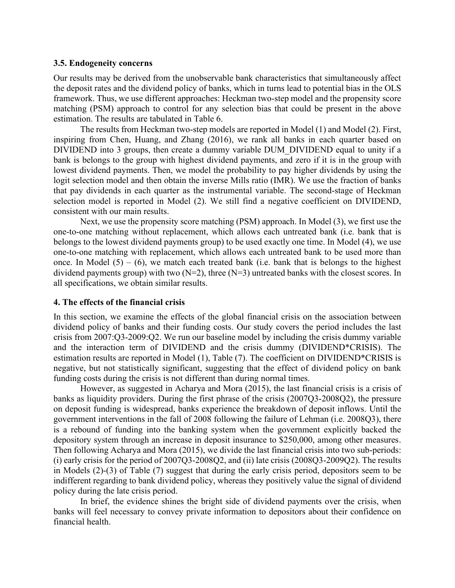#### **3.5. Endogeneity concerns**

Our results may be derived from the unobservable bank characteristics that simultaneously affect the deposit rates and the dividend policy of banks, which in turns lead to potential bias in the OLS framework. Thus, we use different approaches: Heckman two-step model and the propensity score matching (PSM) approach to control for any selection bias that could be present in the above estimation. The results are tabulated in Table 6.

The results from Heckman two‐step models are reported in Model (1) and Model (2). First, inspiring from Chen, Huang, and Zhang (2016), we rank all banks in each quarter based on DIVIDEND into 3 groups, then create a dummy variable DUM\_DIVIDEND equal to unity if a bank is belongs to the group with highest dividend payments, and zero if it is in the group with lowest dividend payments. Then, we model the probability to pay higher dividends by using the logit selection model and then obtain the inverse Mills ratio (IMR). We use the fraction of banks that pay dividends in each quarter as the instrumental variable. The second-stage of Heckman selection model is reported in Model (2). We still find a negative coefficient on DIVIDEND, consistent with our main results.

Next, we use the propensity score matching (PSM) approach. In Model (3), we first use the one-to-one matching without replacement, which allows each untreated bank (i.e. bank that is belongs to the lowest dividend payments group) to be used exactly one time. In Model (4), we use one-to-one matching with replacement, which allows each untreated bank to be used more than once. In Model  $(5) - (6)$ , we match each treated bank (i.e. bank that is belongs to the highest dividend payments group) with two  $(N=2)$ , three  $(N=3)$  untreated banks with the closest scores. In all specifications, we obtain similar results.

#### **4. The effects of the financial crisis**

In this section, we examine the effects of the global financial crisis on the association between dividend policy of banks and their funding costs. Our study covers the period includes the last crisis from 2007:Q3-2009:Q2. We run our baseline model by including the crisis dummy variable and the interaction term of DIVIDEND and the crisis dummy (DIVIDEND\*CRISIS). The estimation results are reported in Model (1), Table (7). The coefficient on DIVIDEND\*CRISIS is negative, but not statistically significant, suggesting that the effect of dividend policy on bank funding costs during the crisis is not different than during normal times.

 However, as suggested in Acharya and Mora (2015), the last financial crisis is a crisis of banks as liquidity providers. During the first phrase of the crisis (2007Q3-2008Q2), the pressure on deposit funding is widespread, banks experience the breakdown of deposit inflows. Until the government interventions in the fall of 2008 following the failure of Lehman (i.e. 2008Q3), there is a rebound of funding into the banking system when the government explicitly backed the depository system through an increase in deposit insurance to \$250,000, among other measures. Then following Acharya and Mora (2015), we divide the last financial crisis into two sub-periods: (i) early crisis for the period of 2007Q3-2008Q2, and (ii) late crisis (2008Q3-2009Q2). The results in Models (2)-(3) of Table (7) suggest that during the early crisis period, depositors seem to be indifferent regarding to bank dividend policy, whereas they positively value the signal of dividend policy during the late crisis period.

 In brief, the evidence shines the bright side of dividend payments over the crisis, when banks will feel necessary to convey private information to depositors about their confidence on financial health.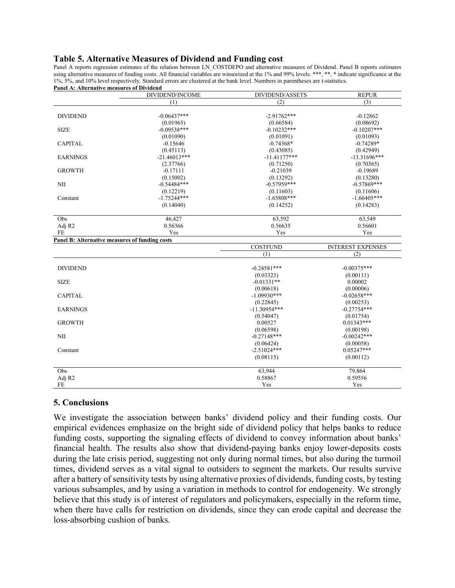#### **Table 5. Alternative Measures of Dividend and Funding cost**

Panel A reports regression estimates of the relation between LN\_COSTDEPO and alternative measures of Dividend. Panel B reports estimates using alternative measures of funding costs. All financial variables are winsorized at the 1% and 99% levels. \*\*\*, \*\*, \* indicate significance at the 1%, 5%, and 10% level respectively. Standard errors are clustered at the bank level. Numbers in parentheses are t-statistics. **Panel A: Alternative measures of Dividend** 

| ranei A: Alternative measures of Dividend      | DIVIDEND/INCOME | DIVIDEND/ASSETS           | <b>REPUR</b>             |
|------------------------------------------------|-----------------|---------------------------|--------------------------|
|                                                | (1)             | (2)                       | (3)                      |
|                                                |                 |                           |                          |
| <b>DIVIDEND</b>                                | $-0.06437***$   | $-2.91762***$             | $-0.12862$               |
|                                                | (0.01965)       | (0.66584)                 | (0.08692)                |
| <b>SIZE</b>                                    | $-0.09538***$   | $-0.10232***$             | $-0.10207***$            |
|                                                | (0.01090)       | (0.01091)                 | (0.01093)                |
| <b>CAPITAL</b>                                 | $-0.15646$      | $-0.74368*$               | $-0.74289*$              |
|                                                | (0.45113)       | (0.43085)                 | (0.42949)                |
| <b>EARNINGS</b>                                | $-21.46013***$  | $-11.41177***$            | $-13.31696***$           |
|                                                | (2.37766)       | (0.71250)                 | (0.70365)                |
| <b>GROWTH</b>                                  | $-0.17111$      | $-0.21039$                | $-0.19689$               |
|                                                | (0.15002)       | (0.13292)                 | (0.13280)                |
| NII                                            | $-0.54484***$   | $-0.57959***$             | $-0.57869***$            |
|                                                | (0.12219)       | (0.11603)                 | (0.11606)                |
| Constant                                       | $-1.75244***$   | $-1.65808***$             | $-1.66405***$            |
|                                                | (0.14040)       | (0.14252)                 | (0.14283)                |
| Obs                                            | 46,427          | 63,592                    | 63,549                   |
| Adj R2                                         | 0.56366         | 0.56635                   | 0.56601                  |
| FE                                             | Yes             | Yes                       | Yes                      |
| Panel B: Alternative measures of funding costs |                 |                           |                          |
|                                                |                 | <b>COSTFUND</b>           | <b>INTEREST EXPENSES</b> |
|                                                |                 | (1)                       | (2)                      |
| <b>DIVIDEND</b>                                |                 | $-0.24581***$             | $-0.00375***$            |
|                                                |                 |                           |                          |
| <b>SIZE</b>                                    |                 | (0.03323)<br>$-0.01331**$ | (0.00111)<br>0.00002     |
|                                                |                 |                           |                          |
|                                                |                 | (0.00618)                 | (0.00006)                |
| <b>CAPITAL</b>                                 |                 | $-1.09930***$             | $-0.02658***$            |
|                                                |                 | (0.22845)                 | (0.00253)                |
| <b>EARNINGS</b>                                |                 | $-11.30954***$            | $-0.27754***$            |
|                                                |                 | (0.54047)                 | (0.01754)                |
| <b>GROWTH</b>                                  |                 | 0.00527                   | $0.01343***$             |
|                                                |                 | (0.06598)                 | (0.00198)                |
| NII                                            |                 | $-0.27148***$             | $-0.00242***$            |
|                                                |                 | (0.06424)                 | (0.00058)                |
| Constant                                       |                 | $-2.51024***$             | $0.05247***$             |
|                                                |                 | (0.08115)                 | (0.00112)                |
| Obs                                            |                 | 63,944                    | 79,864                   |
| Adj R2                                         |                 | 0.58867                   | 0.59556                  |
| FE                                             |                 | Yes                       | Yes                      |

#### **5. Conclusions**

We investigate the association between banks' dividend policy and their funding costs. Our empirical evidences emphasize on the bright side of dividend policy that helps banks to reduce funding costs, supporting the signaling effects of dividend to convey information about banks' financial health. The results also show that dividend-paying banks enjoy lower-deposits costs during the late crisis period, suggesting not only during normal times, but also during the turmoil times, dividend serves as a vital signal to outsiders to segment the markets. Our results survive after a battery of sensitivity tests by using alternative proxies of dividends, funding costs, by testing various subsamples, and by using a variation in methods to control for endogeneity. We strongly believe that this study is of interest of regulators and policymakers, especially in the reform time, when there have calls for restriction on dividends, since they can erode capital and decrease the loss-absorbing cushion of banks.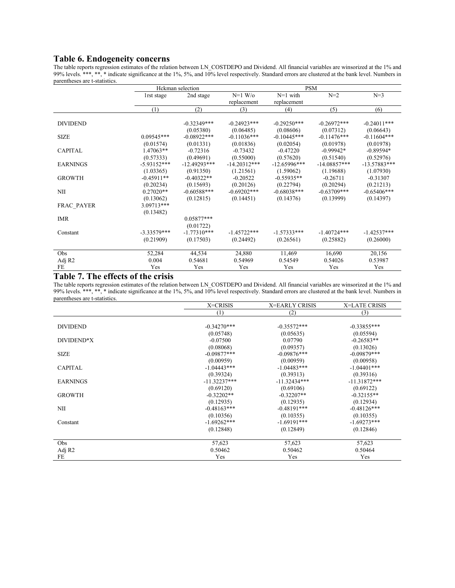#### **Table 6. Endogeneity concerns**

The table reports regression estimates of the relation between LN\_COSTDEPO and Dividend. All financial variables are winsorized at the 1% and 99% levels. \*\*\*, \*\*, \* indicate significance at the 1%, 5%, and 10% level respectively. Standard errors are clustered at the bank level. Numbers in parentheses are t-statistics.

|                 | Hckman selection |                |                | <b>PSM</b>     |                |                |
|-----------------|------------------|----------------|----------------|----------------|----------------|----------------|
|                 | 1rst stage       | 2nd stage      | $N=1$ W/o      | $N=1$ with     | $N=2$          | $N=3$          |
|                 |                  |                | replacement    | replacement    |                |                |
|                 | (1)              | (2)            | (3)            | (4)            | (5)            | (6)            |
|                 |                  |                |                |                |                |                |
| <b>DIVIDEND</b> |                  | $-0.32349***$  | $-0.24923$ *** | $-0.29250***$  | $-0.26972***$  | $-0.24011***$  |
|                 |                  | (0.05380)      | (0.06485)      | (0.08606)      | (0.07312)      | (0.06643)      |
| <b>SIZE</b>     | $0.09545***$     | $-0.08922***$  | $-0.11036***$  | $-0.10445***$  | $-0.11476***$  | $-0.11604***$  |
|                 | (0.01574)        | (0.01331)      | (0.01836)      | (0.02054)      | (0.01978)      | (0.01978)      |
| <b>CAPITAL</b>  | $1.47063**$      | $-0.72316$     | $-0.73432$     | $-0.47220$     | $-0.99942*$    | $-0.89594*$    |
|                 | (0.57333)        | (0.49691)      | (0.55000)      | (0.57620)      | (0.51540)      | (0.52976)      |
| <b>EARNINGS</b> | $-5.93152***$    | $-12.49293***$ | $-14.20312***$ | $-12.65996***$ | $-14.08857***$ | $-13.57883***$ |
|                 | (1.03365)        | (0.91350)      | (1.21561)      | (1.59062)      | (1.19688)      | (1.07930)      |
| <b>GROWTH</b>   | $-0.45911**$     | $-0.40322**$   | $-0.20522$     | $-0.55935**$   | $-0.26711$     | $-0.31307$     |
|                 | (0.20234)        | (0.15693)      | (0.20126)      | (0.22794)      | (0.20294)      | (0.21213)      |
| NII             | $0.27020**$      | $-0.60588***$  | $-0.69202***$  | $-0.68038***$  | $-0.63709***$  | $-0.65406***$  |
|                 | (0.13062)        | (0.12815)      | (0.14451)      | (0.14376)      | (0.13999)      | (0.14397)      |
| FRAC_PAYER      | 3.09713***       |                |                |                |                |                |
|                 | (0.13482)        |                |                |                |                |                |
| <b>IMR</b>      |                  | $0.05877***$   |                |                |                |                |
|                 |                  | (0.01722)      |                |                |                |                |
| Constant        | $-3.33579***$    | $-1.77310***$  | $-1.45722***$  | $-1.57333***$  | $-1.40724***$  | $-1.42537***$  |
|                 | (0.21909)        | (0.17503)      | (0.24492)      | (0.26561)      | (0.25882)      | (0.26000)      |
|                 |                  |                |                |                |                |                |
| Obs             | 52,284           | 44,534         | 24,880         | 11,469         | 16,690         | 20,156         |
| Adj R2          | 0.004            | 0.54681        | 0.54969        | 0.54549        | 0.54026        | 0.53987        |
| FE              | Yes              | Yes            | Yes            | Yes            | Yes            | Yes            |

#### **Table 7. The effects of the crisis**

The table reports regression estimates of the relation between LN\_COSTDEPO and Dividend. All financial variables are winsorized at the 1% and 99% levels. \*\*\*, \*\*, \* indicate significance at the 1%, 5%, and 10% level respectively. Standard errors are clustered at the bank level. Numbers in parentheses are t-statistics.

|                 | X=CRISIS       | <b>X=EARLY CRISIS</b> | <b>X=LATE CRISIS</b> |
|-----------------|----------------|-----------------------|----------------------|
|                 | (1)            | (2)                   | (3)                  |
|                 |                |                       |                      |
| <b>DIVIDEND</b> | $-0.34270***$  | $-0.35572***$         | $-0.33855***$        |
|                 | (0.05748)      | (0.05635)             | (0.05594)            |
| DIVIDEND*X      | $-0.07500$     | 0.07790               | $-0.26583**$         |
|                 | (0.08068)      | (0.09357)             | (0.13026)            |
| <b>SIZE</b>     | $-0.09877***$  | $-0.09876***$         | $-0.09879***$        |
|                 | (0.00959)      | (0.00959)             | (0.00958)            |
| <b>CAPITAL</b>  | $-1.04443***$  | $-1.04483***$         | $-1.04401***$        |
|                 | (0.39324)      | (0.39313)             | (0.39316)            |
| <b>EARNINGS</b> | $-11.32237***$ | $-11.32434***$        | $-11.31872***$       |
|                 | (0.69120)      | (0.69106)             | (0.69122)            |
| <b>GROWTH</b>   | $-0.32202**$   | $-0.32207**$          | $-0.32155**$         |
|                 | (0.12935)      | (0.12935)             | (0.12934)            |
| NII             | $-0.48163***$  | $-0.48191***$         | $-0.48126***$        |
|                 | (0.10356)      | (0.10355)             | (0.10355)            |
| Constant        | $-1.69262***$  | $-1.69191***$         | $-1.69273***$        |
|                 | (0.12848)      | (0.12849)             | (0.12846)            |
|                 |                |                       |                      |
| Obs             | 57,623         | 57,623                | 57,623               |
| Adj R2          | 0.50462        | 0.50462               | 0.50464              |
| FE              | Yes            | Yes                   | Yes                  |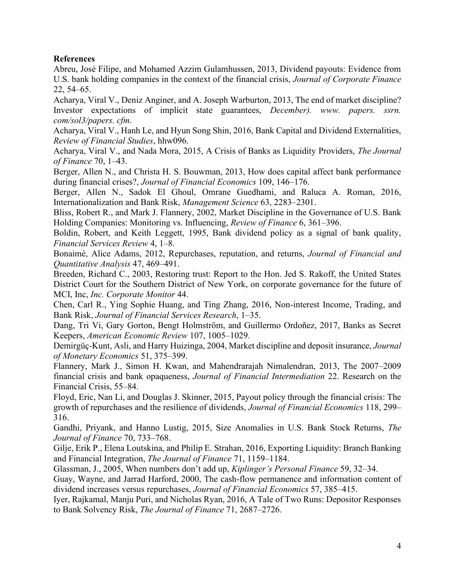#### **References**

Abreu, José Filipe, and Mohamed Azzim Gulamhussen, 2013, Dividend payouts: Evidence from U.S. bank holding companies in the context of the financial crisis, *Journal of Corporate Finance* 22, 54–65.

Acharya, Viral V., Deniz Anginer, and A. Joseph Warburton, 2013, The end of market discipline? Investor expectations of implicit state guarantees, *December). www. papers. ssrn. com/sol3/papers. cfm*.

Acharya, Viral V., Hanh Le, and Hyun Song Shin, 2016, Bank Capital and Dividend Externalities, *Review of Financial Studies*, hhw096.

Acharya, Viral V., and Nada Mora, 2015, A Crisis of Banks as Liquidity Providers, *The Journal of Finance* 70, 1–43.

Berger, Allen N., and Christa H. S. Bouwman, 2013, How does capital affect bank performance during financial crises?, *Journal of Financial Economics* 109, 146–176.

Berger, Allen N., Sadok El Ghoul, Omrane Guedhami, and Raluca A. Roman, 2016, Internationalization and Bank Risk, *Management Science* 63, 2283–2301.

Bliss, Robert R., and Mark J. Flannery, 2002, Market Discipline in the Governance of U.S. Bank Holding Companies: Monitoring vs. Influencing, *Review of Finance* 6, 361–396.

Boldin, Robert, and Keith Leggett, 1995, Bank dividend policy as a signal of bank quality, *Financial Services Review* 4, 1–8.

Bonaimé, Alice Adams, 2012, Repurchases, reputation, and returns, *Journal of Financial and Quantitative Analysis* 47, 469–491.

Breeden, Richard C., 2003, Restoring trust: Report to the Hon. Jed S. Rakoff, the United States District Court for the Southern District of New York, on corporate governance for the future of MCI, Inc, *Inc. Corporate Monitor* 44.

Chen, Carl R., Ying Sophie Huang, and Ting Zhang, 2016, Non-interest Income, Trading, and Bank Risk, *Journal of Financial Services Research*, 1–35.

Dang, Tri Vi, Gary Gorton, Bengt Holmström, and Guillermo Ordoñez, 2017, Banks as Secret Keepers, *American Economic Review* 107, 1005–1029.

Demirgüç-Kunt, Asli, and Harry Huizinga, 2004, Market discipline and deposit insurance, *Journal of Monetary Economics* 51, 375–399.

Flannery, Mark J., Simon H. Kwan, and Mahendrarajah Nimalendran, 2013, The 2007–2009 financial crisis and bank opaqueness, *Journal of Financial Intermediation* 22. Research on the Financial Crisis, 55–84.

Floyd, Eric, Nan Li, and Douglas J. Skinner, 2015, Payout policy through the financial crisis: The growth of repurchases and the resilience of dividends, *Journal of Financial Economics* 118, 299– 316.

Gandhi, Priyank, and Hanno Lustig, 2015, Size Anomalies in U.S. Bank Stock Returns, *The Journal of Finance* 70, 733–768.

Gilje, Erik P., Elena Loutskina, and Philip E. Strahan, 2016, Exporting Liquidity: Branch Banking and Financial Integration, *The Journal of Finance* 71, 1159–1184.

Glassman, J., 2005, When numbers don't add up, *Kiplinger's Personal Finance* 59, 32–34.

Guay, Wayne, and Jarrad Harford, 2000, The cash-flow permanence and information content of dividend increases versus repurchases, *Journal of Financial Economics* 57, 385–415.

Iyer, Rajkamal, Manju Puri, and Nicholas Ryan, 2016, A Tale of Two Runs: Depositor Responses to Bank Solvency Risk, *The Journal of Finance* 71, 2687–2726.